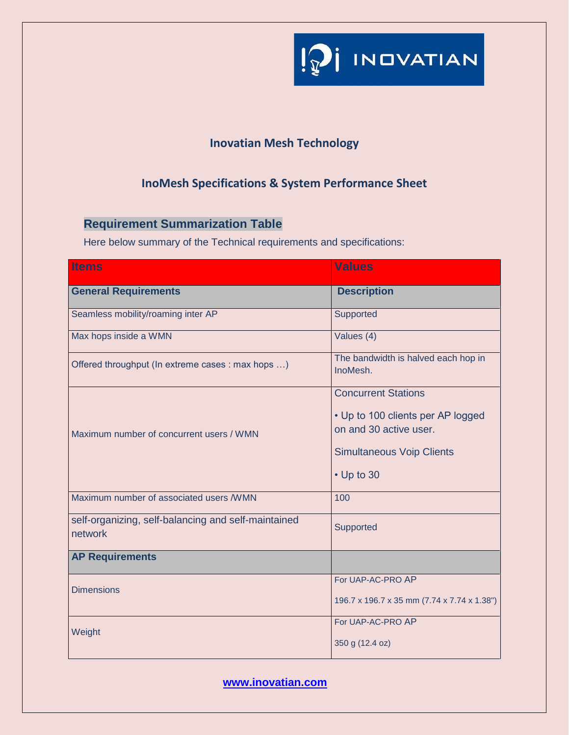

## **Inovatian Mesh Technology**

## **InoMesh Specifications & System Performance Sheet**

## **Requirement Summarization Table**

Here below summary of the Technical requirements and specifications:

| <b>Items</b>                                                   | <b>Values</b>                                               |
|----------------------------------------------------------------|-------------------------------------------------------------|
| <b>General Requirements</b>                                    | <b>Description</b>                                          |
| Seamless mobility/roaming inter AP                             | Supported                                                   |
| Max hops inside a WMN                                          | Values (4)                                                  |
| Offered throughput (In extreme cases : max hops )              | The bandwidth is halved each hop in<br>InoMesh.             |
| Maximum number of concurrent users / WMN                       | <b>Concurrent Stations</b>                                  |
|                                                                | • Up to 100 clients per AP logged<br>on and 30 active user. |
|                                                                | <b>Simultaneous Voip Clients</b>                            |
|                                                                | $\cdot$ Up to 30                                            |
| Maximum number of associated users /WMN                        | 100                                                         |
| self-organizing, self-balancing and self-maintained<br>network | Supported                                                   |
| <b>AP Requirements</b>                                         |                                                             |
| <b>Dimensions</b>                                              | For UAP-AC-PRO AP                                           |
|                                                                | 196.7 x 196.7 x 35 mm (7.74 x 7.74 x 1.38")                 |
| Weight                                                         | For UAP-AC-PRO AP                                           |
|                                                                | 350 g (12.4 oz)                                             |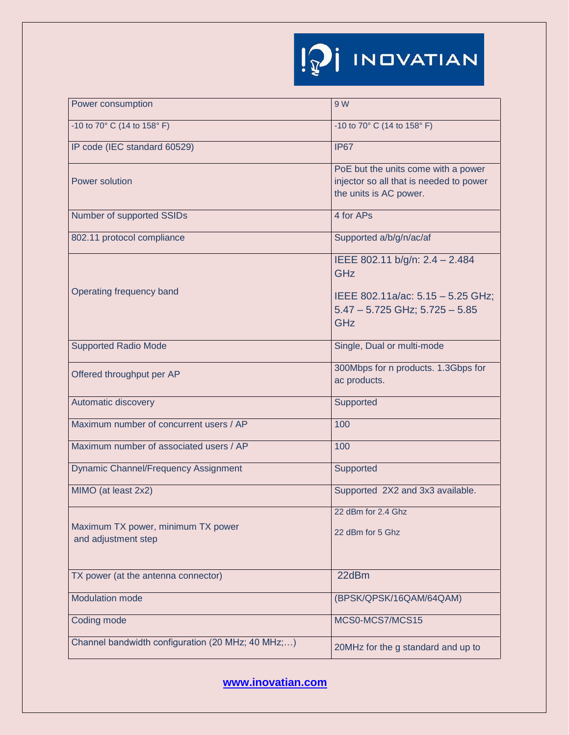| Power consumption                                         | 9 W                                                                                                      |
|-----------------------------------------------------------|----------------------------------------------------------------------------------------------------------|
| -10 to 70° C (14 to 158° F)                               | -10 to 70° C (14 to 158° F)                                                                              |
| IP code (IEC standard 60529)                              | <b>IP67</b>                                                                                              |
| <b>Power solution</b>                                     | PoE but the units come with a power<br>injector so all that is needed to power<br>the units is AC power. |
| Number of supported SSIDs                                 | 4 for APs                                                                                                |
| 802.11 protocol compliance                                | Supported a/b/g/n/ac/af                                                                                  |
|                                                           | IEEE 802.11 b/g/n: 2.4 - 2.484<br><b>GHz</b>                                                             |
| Operating frequency band                                  | IEEE 802.11a/ac: 5.15 - 5.25 GHz;<br>$5.47 - 5.725$ GHz; $5.725 - 5.85$<br>GHz                           |
| <b>Supported Radio Mode</b>                               | Single, Dual or multi-mode                                                                               |
| Offered throughput per AP                                 | 300Mbps for n products. 1.3Gbps for<br>ac products.                                                      |
| Automatic discovery                                       | Supported                                                                                                |
| Maximum number of concurrent users / AP                   | 100                                                                                                      |
| Maximum number of associated users / AP                   | 100                                                                                                      |
| <b>Dynamic Channel/Frequency Assignment</b>               | <b>Supported</b>                                                                                         |
| MIMO (at least 2x2)                                       | Supported 2X2 and 3x3 available.                                                                         |
| Maximum TX power, minimum TX power<br>and adjustment step | 22 dBm for 2.4 Ghz<br>22 dBm for 5 Ghz                                                                   |
| TX power (at the antenna connector)                       | 22dBm                                                                                                    |
| <b>Modulation mode</b>                                    | (BPSK/QPSK/16QAM/64QAM)                                                                                  |
| Coding mode                                               | MCS0-MCS7/MCS15                                                                                          |
| Channel bandwidth configuration (20 MHz; 40 MHz;)         | 20MHz for the g standard and up to                                                                       |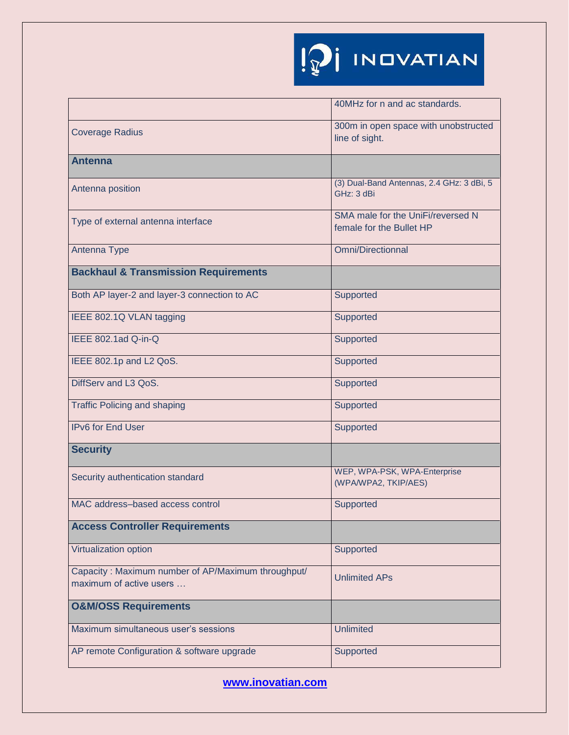|                                                                               | 40MHz for n and ac standards.                                 |
|-------------------------------------------------------------------------------|---------------------------------------------------------------|
| <b>Coverage Radius</b>                                                        | 300m in open space with unobstructed<br>line of sight.        |
| <b>Antenna</b>                                                                |                                                               |
| Antenna position                                                              | (3) Dual-Band Antennas, 2.4 GHz: 3 dBi, 5<br>GHz: 3 dBi       |
| Type of external antenna interface                                            | SMA male for the UniFi/reversed N<br>female for the Bullet HP |
| Antenna Type                                                                  | <b>Omni/Directionnal</b>                                      |
| <b>Backhaul &amp; Transmission Requirements</b>                               |                                                               |
| Both AP layer-2 and layer-3 connection to AC                                  | Supported                                                     |
| IEEE 802.1Q VLAN tagging                                                      | Supported                                                     |
| IEEE 802.1ad Q-in-Q                                                           | Supported                                                     |
| IEEE 802.1p and L2 QoS.                                                       | Supported                                                     |
| DiffServ and L3 QoS.                                                          | Supported                                                     |
| <b>Traffic Policing and shaping</b>                                           | Supported                                                     |
| <b>IPv6 for End User</b>                                                      | Supported                                                     |
| <b>Security</b>                                                               |                                                               |
| Security authentication standard                                              | WEP, WPA-PSK, WPA-Enterprise<br>(WPA/WPA2, TKIP/AES)          |
| MAC address-based access control                                              | Supported                                                     |
| <b>Access Controller Requirements</b>                                         |                                                               |
| Virtualization option                                                         | Supported                                                     |
| Capacity: Maximum number of AP/Maximum throughput/<br>maximum of active users | <b>Unlimited APs</b>                                          |
| <b>O&amp;M/OSS Requirements</b>                                               |                                                               |
| Maximum simultaneous user's sessions                                          | <b>Unlimited</b>                                              |
| AP remote Configuration & software upgrade                                    | Supported                                                     |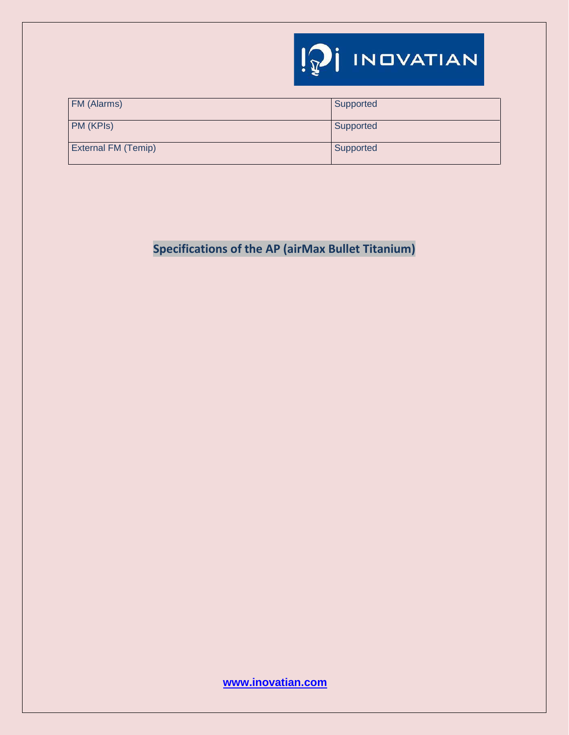

| FM (Alarms)         | Supported |
|---------------------|-----------|
| PM (KPIs)           | Supported |
| External FM (Temip) | Supported |

**Specifications of the AP (airMax Bullet Titanium)**